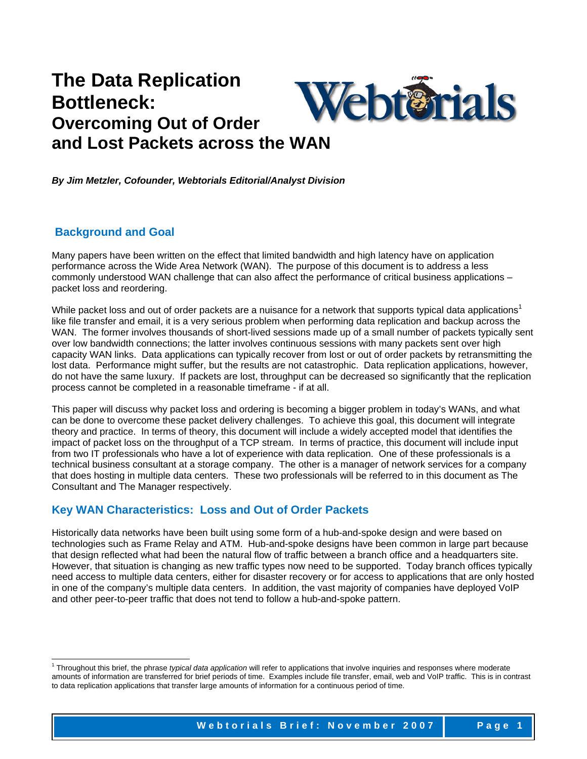# **The Data Replication** Webterrials **Bottleneck: Overcoming Out of Order and Lost Packets across the WAN**

*By Jim Metzler, Cofounder, Webtorials Editorial/Analyst Division*

## **Background and Goal**

l

Many papers have been written on the effect that limited bandwidth and high latency have on application performance across the Wide Area Network (WAN). The purpose of this document is to address a less commonly understood WAN challenge that can also affect the performance of critical business applications – packet loss and reordering.

While packet loss and out of order packets are a nuisance for a network that supports typical data applications<sup>1</sup> like file transfer and email, it is a very serious problem when performing data replication and backup across the WAN. The former involves thousands of short-lived sessions made up of a small number of packets typically sent over low bandwidth connections; the latter involves continuous sessions with many packets sent over high capacity WAN links. Data applications can typically recover from lost or out of order packets by retransmitting the lost data. Performance might suffer, but the results are not catastrophic. Data replication applications, however, do not have the same luxury. If packets are lost, throughput can be decreased so significantly that the replication process cannot be completed in a reasonable timeframe - if at all.

This paper will discuss why packet loss and ordering is becoming a bigger problem in today's WANs, and what can be done to overcome these packet delivery challenges. To achieve this goal, this document will integrate theory and practice. In terms of theory, this document will include a widely accepted model that identifies the impact of packet loss on the throughput of a TCP stream. In terms of practice, this document will include input from two IT professionals who have a lot of experience with data replication. One of these professionals is a technical business consultant at a storage company. The other is a manager of network services for a company that does hosting in multiple data centers. These two professionals will be referred to in this document as The Consultant and The Manager respectively.

## **Key WAN Characteristics: Loss and Out of Order Packets**

Historically data networks have been built using some form of a hub-and-spoke design and were based on technologies such as Frame Relay and ATM. Hub-and-spoke designs have been common in large part because that design reflected what had been the natural flow of traffic between a branch office and a headquarters site. However, that situation is changing as new traffic types now need to be supported. Today branch offices typically need access to multiple data centers, either for disaster recovery or for access to applications that are only hosted in one of the company's multiple data centers. In addition, the vast majority of companies have deployed VoIP and other peer-to-peer traffic that does not tend to follow a hub-and-spoke pattern.

<sup>1</sup> Throughout this brief, the phrase *typical data application* will refer to applications that involve inquiries and responses where moderate amounts of information are transferred for brief periods of time. Examples include file transfer, email, web and VoIP traffic. This is in contrast to data replication applications that transfer large amounts of information for a continuous period of time.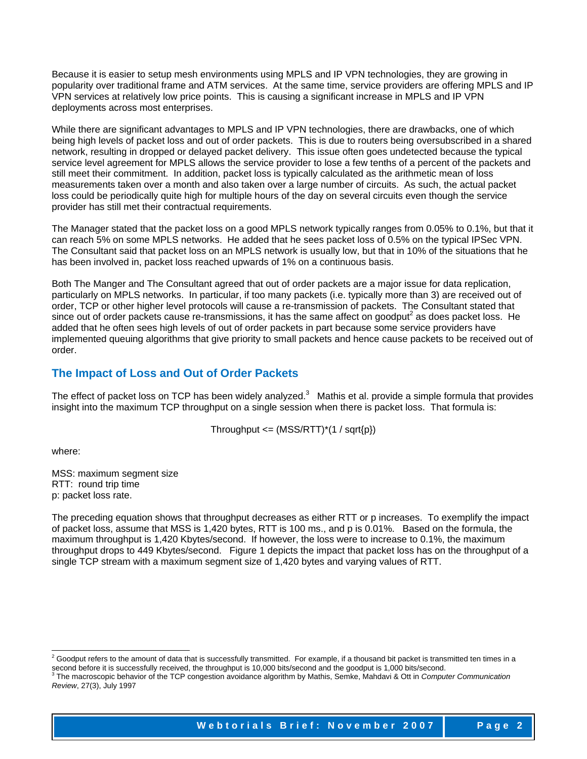Because it is easier to setup mesh environments using MPLS and IP VPN technologies, they are growing in popularity over traditional frame and ATM services. At the same time, service providers are offering MPLS and IP VPN services at relatively low price points. This is causing a significant increase in MPLS and IP VPN deployments across most enterprises.

While there are significant advantages to MPLS and IP VPN technologies, there are drawbacks, one of which being high levels of packet loss and out of order packets. This is due to routers being oversubscribed in a shared network, resulting in dropped or delayed packet delivery. This issue often goes undetected because the typical service level agreement for MPLS allows the service provider to lose a few tenths of a percent of the packets and still meet their commitment. In addition, packet loss is typically calculated as the arithmetic mean of loss measurements taken over a month and also taken over a large number of circuits. As such, the actual packet loss could be periodically quite high for multiple hours of the day on several circuits even though the service provider has still met their contractual requirements.

The Manager stated that the packet loss on a good MPLS network typically ranges from 0.05% to 0.1%, but that it can reach 5% on some MPLS networks. He added that he sees packet loss of 0.5% on the typical IPSec VPN. The Consultant said that packet loss on an MPLS network is usually low, but that in 10% of the situations that he has been involved in, packet loss reached upwards of 1% on a continuous basis.

Both The Manger and The Consultant agreed that out of order packets are a major issue for data replication, particularly on MPLS networks. In particular, if too many packets (i.e. typically more than 3) are received out of order, TCP or other higher level protocols will cause a re-transmission of packets. The Consultant stated that since out of order packets cause re-transmissions, it has the same affect on goodput<sup>2</sup> as does packet loss. He added that he often sees high levels of out of order packets in part because some service providers have implemented queuing algorithms that give priority to small packets and hence cause packets to be received out of order.

## **The Impact of Loss and Out of Order Packets**

The effect of packet loss on TCP has been widely analyzed. $3$  Mathis et al. provide a simple formula that provides insight into the maximum TCP throughput on a single session when there is packet loss. That formula is:

Throughput  $\leq$  (MSS/RTT)<sup>\*</sup>(1 / sqrt{p})

where:

MSS: maximum segment size RTT: round trip time p: packet loss rate.

The preceding equation shows that throughput decreases as either RTT or p increases. To exemplify the impact of packet loss, assume that MSS is 1,420 bytes, RTT is 100 ms., and p is 0.01%. Based on the formula, the maximum throughput is 1,420 Kbytes/second. If however, the loss were to increase to 0.1%, the maximum throughput drops to 449 Kbytes/second. Figure 1 depicts the impact that packet loss has on the throughput of a single TCP stream with a maximum segment size of 1,420 bytes and varying values of RTT.

 2 Goodput refers to the amount of data that is successfully transmitted. For example, if a thousand bit packet is transmitted ten times in a

second before it is successfully received, the throughput is 10,000 bits/second and the goodput is 1,000 bits/second.<br><sup>3</sup> The macroscopic behavior of the TCP congestion avoidance algorithm by Mathis, Semke, Mahdavi & Ott i *Review*, 27(3), July 1997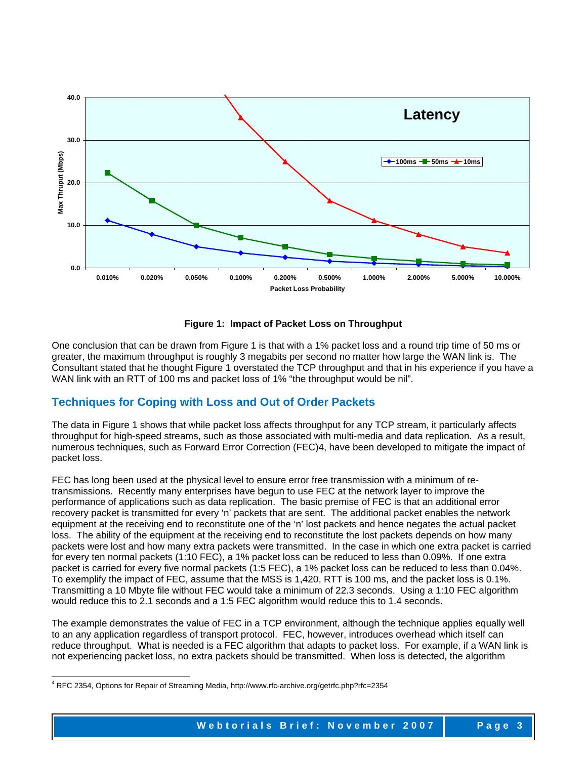

**Figure 1: Impact of Packet Loss on Throughput** 

One conclusion that can be drawn from Figure 1 is that with a 1% packet loss and a round trip time of 50 ms or greater, the maximum throughput is roughly 3 megabits per second no matter how large the WAN link is. The Consultant stated that he thought Figure 1 overstated the TCP throughput and that in his experience if you have a WAN link with an RTT of 100 ms and packet loss of 1% "the throughput would be nil".

# **Techniques for Coping with Loss and Out of Order Packets**

The data in Figure 1 shows that while packet loss affects throughput for any TCP stream, it particularly affects throughput for high-speed streams, such as those associated with multi-media and data replication. As a result, numerous techniques, such as Forward Error Correction (FEC)4, have been developed to mitigate the impact of packet loss.

FEC has long been used at the physical level to ensure error free transmission with a minimum of retransmissions. Recently many enterprises have begun to use FEC at the network layer to improve the performance of applications such as data replication. The basic premise of FEC is that an additional error recovery packet is transmitted for every 'n' packets that are sent. The additional packet enables the network equipment at the receiving end to reconstitute one of the 'n' lost packets and hence negates the actual packet loss. The ability of the equipment at the receiving end to reconstitute the lost packets depends on how many packets were lost and how many extra packets were transmitted. In the case in which one extra packet is carried for every ten normal packets (1:10 FEC), a 1% packet loss can be reduced to less than 0.09%. If one extra packet is carried for every five normal packets (1:5 FEC), a 1% packet loss can be reduced to less than 0.04%. To exemplify the impact of FEC, assume that the MSS is 1,420, RTT is 100 ms, and the packet loss is 0.1%. Transmitting a 10 Mbyte file without FEC would take a minimum of 22.3 seconds. Using a 1:10 FEC algorithm would reduce this to 2.1 seconds and a 1:5 FEC algorithm would reduce this to 1.4 seconds.

The example demonstrates the value of FEC in a TCP environment, although the technique applies equally well to an any application regardless of transport protocol. FEC, however, introduces overhead which itself can reduce throughput. What is needed is a FEC algorithm that adapts to packet loss. For example, if a WAN link is not experiencing packet loss, no extra packets should be transmitted. When loss is detected, the algorithm

l

<sup>4</sup> RFC 2354, Options for Repair of Streaming Media, http://www.rfc-archive.org/getrfc.php?rfc=2354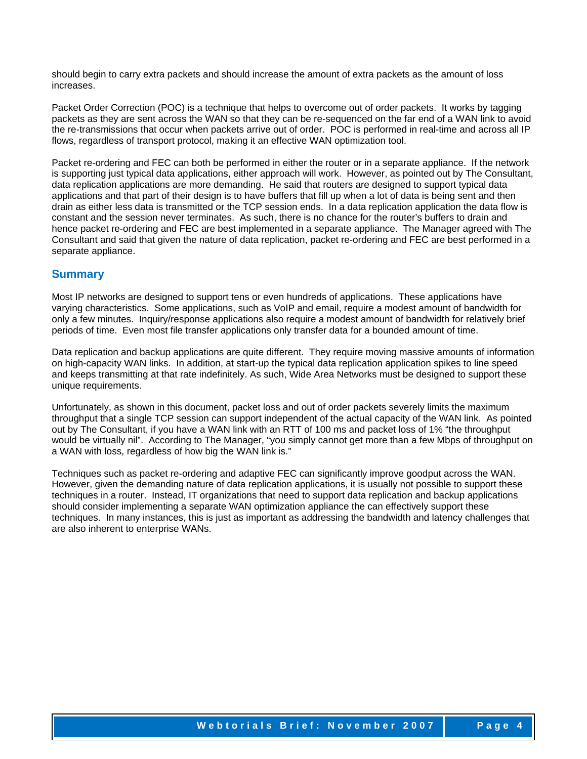should begin to carry extra packets and should increase the amount of extra packets as the amount of loss increases.

Packet Order Correction (POC) is a technique that helps to overcome out of order packets. It works by tagging packets as they are sent across the WAN so that they can be re-sequenced on the far end of a WAN link to avoid the re-transmissions that occur when packets arrive out of order. POC is performed in real-time and across all IP flows, regardless of transport protocol, making it an effective WAN optimization tool.

Packet re-ordering and FEC can both be performed in either the router or in a separate appliance. If the network is supporting just typical data applications, either approach will work. However, as pointed out by The Consultant, data replication applications are more demanding. He said that routers are designed to support typical data applications and that part of their design is to have buffers that fill up when a lot of data is being sent and then drain as either less data is transmitted or the TCP session ends. In a data replication application the data flow is constant and the session never terminates. As such, there is no chance for the router's buffers to drain and hence packet re-ordering and FEC are best implemented in a separate appliance. The Manager agreed with The Consultant and said that given the nature of data replication, packet re-ordering and FEC are best performed in a separate appliance.

### **Summary**

Most IP networks are designed to support tens or even hundreds of applications. These applications have varying characteristics. Some applications, such as VoIP and email, require a modest amount of bandwidth for only a few minutes. Inquiry/response applications also require a modest amount of bandwidth for relatively brief periods of time. Even most file transfer applications only transfer data for a bounded amount of time.

Data replication and backup applications are quite different. They require moving massive amounts of information on high-capacity WAN links. In addition, at start-up the typical data replication application spikes to line speed and keeps transmitting at that rate indefinitely. As such, Wide Area Networks must be designed to support these unique requirements.

Unfortunately, as shown in this document, packet loss and out of order packets severely limits the maximum throughput that a single TCP session can support independent of the actual capacity of the WAN link. As pointed out by The Consultant, if you have a WAN link with an RTT of 100 ms and packet loss of 1% "the throughput would be virtually nil". According to The Manager, "you simply cannot get more than a few Mbps of throughput on a WAN with loss, regardless of how big the WAN link is."

Techniques such as packet re-ordering and adaptive FEC can significantly improve goodput across the WAN. However, given the demanding nature of data replication applications, it is usually not possible to support these techniques in a router. Instead, IT organizations that need to support data replication and backup applications should consider implementing a separate WAN optimization appliance the can effectively support these techniques. In many instances, this is just as important as addressing the bandwidth and latency challenges that are also inherent to enterprise WANs.